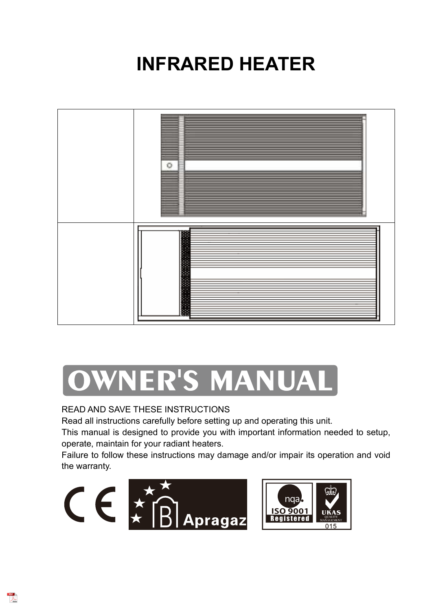# **INFRARED HEATER**



# OWNER'S MANUAL

#### READ AND SAVE THESE INSTRUCTIONS

Read all instructions carefully before setting up and operating this unit.

This manual is designed to provide you with important information needed to setup, operate, maintain for your radiant heaters.

Failure to follow these instructions may damage and/or impair its operation and void the warranty.



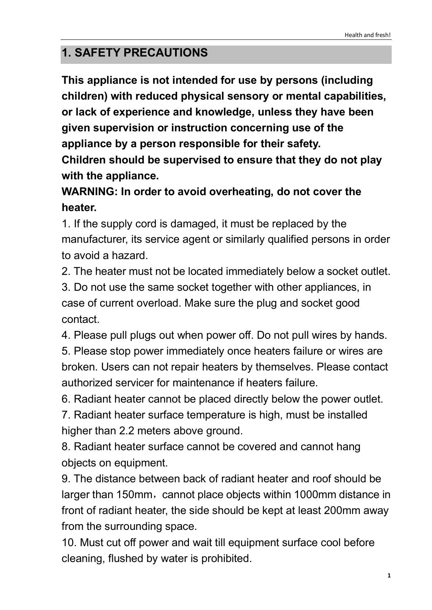### **1. SAFETY PRECAUTIONS**

**This appliance is not intended for use by persons (including children) with reduced physical sensory or mental capabilities, or lack of experience and knowledge, unless they have been given supervision or instruction concerning use of the appliance by a person responsible for their safety. Children should be supervised to ensure that they do not play with the appliance.**

### **WARNING: In order to avoid overheating, do not cover the heater.**

1. If the supply cord is damaged, it must be replaced by the manufacturer, its service agent or similarly qualified persons in order to avoid a hazard.

2. The heater must not be located immediately below a socket outlet.

3. Do not use the same socket together with other appliances, in case of current overload. Make sure the plug and socket good contact.

4. Please pull plugs out when power off. Do not pull wires by hands.

5. Please stop power immediately once heaters failure or wires are broken. Users can not repair heaters by themselves. Please contact authorized servicer for maintenance if heaters failure.

6. Radiant heater cannot be placed directly below the power outlet.

7. Radiant heater surface temperature is high, must be installed higher than 2.2 meters above ground.

8. Radiant heater surface cannot be covered and cannot hang objects on equipment.

9. The distance between back of radiant heater and roof should be larger than 150mm, cannot place objects within 1000mm distance in front of radiant heater, the side should be kept at least 200mm away from the surrounding space.

10. Must cut off power and wait till equipment surface cool before cleaning, flushed by water is prohibited.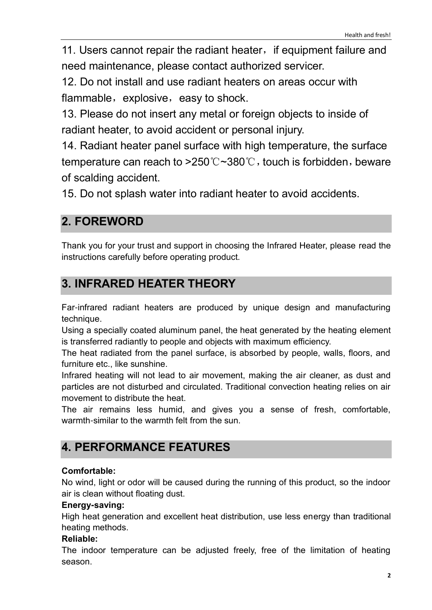11. Users cannot repair the radiant heater, if equipment failure and need maintenance, please contact authorized servicer.

12. Do not install and use radiant heaters on areas occur with flammable,  $explosive$ , easy to shock.

13. Please do not insert any metal or foreign objects to inside of radiant heater, to avoid accident or personal injury.

14. Radiant heater panel surface with high temperature, the surface temperature can reach to  $>250^{\circ}$   $\sim$  380 $^{\circ}$ C, touch is forbidden, beware of scalding accident.

15. Do not splash water into radiant heater to avoid accidents.

#### **2. FOREWORD**

Thank you for your trust and support in choosing the Infrared Heater, please read the instructions carefully before operating product.

# **3. INFRARED HEATER THEORY**

Far-infrared radiant heaters are produced by unique design and manufacturing technique.

Using a specially coated aluminum panel, the heat generated by the heating element is transferred radiantly to people and objects with maximum efficiency.

The heat radiated from the panel surface, is absorbed by people, walls, floors, and furniture etc., like sunshine.

Infrared heating will not lead to air movement, making the air cleaner, as dust and particles are not disturbed and circulated. Traditional convection heating relies on air movement to distribute the heat.

The air remains less humid, and gives you a sense of fresh, comfortable, warmth-similar to the warmth felt from the sun.

## **4. PERFORMANCE FEATURES**

#### **Comfortable:**

No wind, light or odor will be caused during the running of this product, so the indoor air is clean without floating dust.

#### **Energy-saving:**

High heat generation and excellent heat distribution, use less energy than traditional heating methods.

#### **Reliable:**

The indoor temperature can be adjusted freely, free of the limitation of heating season.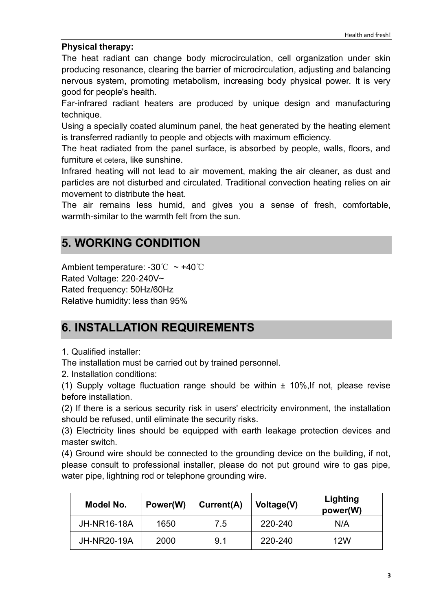#### **Physical therapy:**

The heat radiant can change body microcirculation, cell organization under skin producing resonance, clearing the barrier of microcirculation, adjusting and balancing nervous system, promoting metabolism, increasing body physical power. It is very good for people's health.

Far-infrared radiant heaters are produced by unique design and manufacturing technique.

Using a specially coated aluminum panel, the heat generated by the heating element is transferred radiantly to people and objects with maximum efficiency.

The heat radiated from the panel surface, is absorbed by people, walls, floors, and furniture et cetera, like sunshine.

Infrared heating will not lead to air movement, making the air cleaner, as dust and particles are not disturbed and circulated. Traditional convection heating relies on air movement to distribute the heat.

The air remains less humid, and gives you a sense of fresh, comfortable, warmth-similar to the warmth felt from the sun.

#### **5. WORKING CONDITION**

Ambient temperature: -30℃ ~ +40℃ Rated Voltage: 220-240V~ Rated frequency: 50Hz/60Hz Relative humidity: less than 95%

#### **6. INSTALLATION REQUIREMENTS**

1. Qualified installer:

The installation must be carried out by trained personnel.

2. Installation conditions:

(1) Supply voltage fluctuation range should be within  $\pm$  10%. If not, please revise before installation.

(2) If there is a serious security risk in users' electricity environment, the installation should be refused, until eliminate the security risks.

(3) Electricity lines should be equipped with earth leakage protection devices and master switch.

(4) Ground wire should be connected to the grounding device on the building, if not, please consult to professional installer, please do not put ground wire to gas pipe, water pipe, lightning rod or telephone grounding wire.

| Model No.          | Power(W) | Current(A) | Voltage(V) | Lighting<br>power(W) |
|--------------------|----------|------------|------------|----------------------|
| <b>JH-NR16-18A</b> | 1650     | 7.5        | 220-240    | N/A                  |
| <b>JH-NR20-19A</b> | 2000     | 9.1        | 220-240    | 12W                  |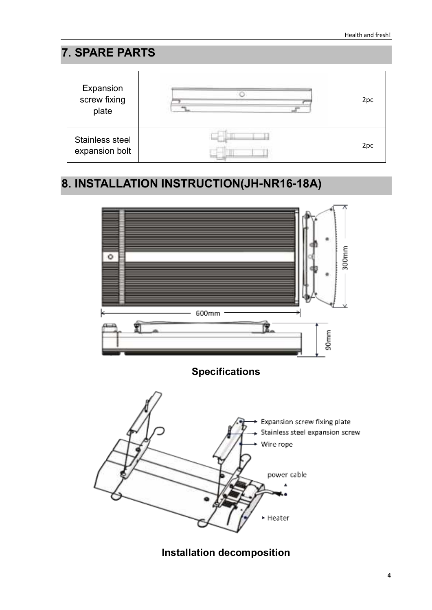### **7. SPARE PARTS**



## **8. INSTALLATION INSTRUCTION(JH-NR16-18A)**



**Installation decomposition**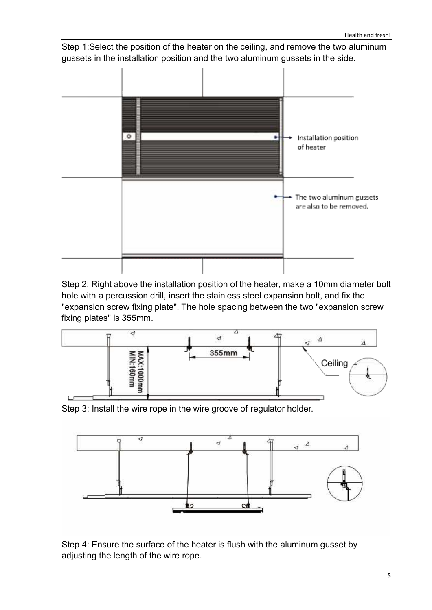Step 1:Select the position of the heater on the ceiling, and remove the two aluminum gussets in the installation position and the two aluminum gussets in the side.



Step 2: Right above the installation position of the heater, make a 10mm diameter bolt hole with a percussion drill, insert the stainless steel expansion bolt, and fix the "expansion screw fixing plate". The hole spacing between the two "expansion screw fixing plates" is 355mm.



Step 3: Install the wire rope in the wire groove of regulator holder.



Step 4: Ensure the surface of the heater is flush with the aluminum gusset by adjusting the length of the wire rope.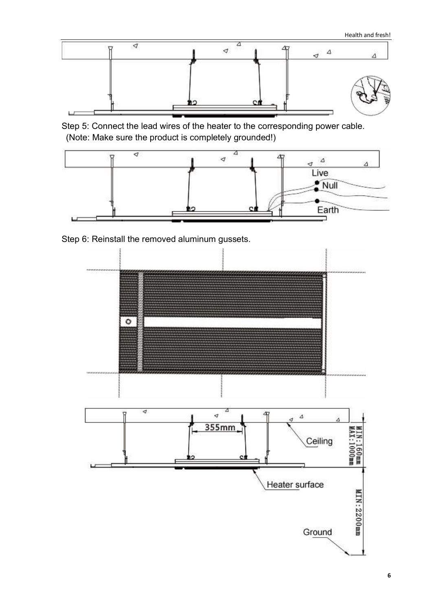

Step 5: Connect the lead wires of the heater to the corresponding power cable. (Note: Make sure the product is completely grounded!)



Step 6: Reinstall the removed aluminum gussets.

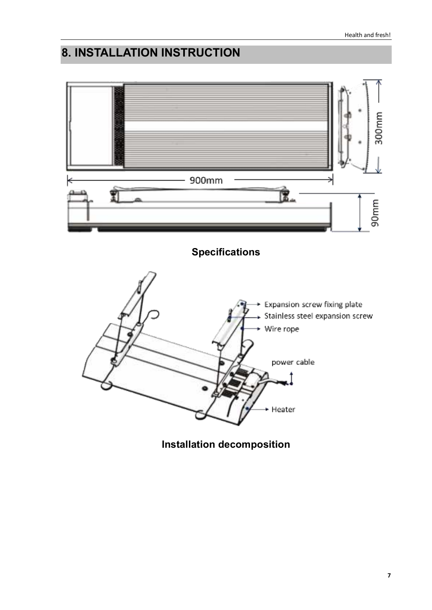# **8. INSTALLATION INSTRUCTION**



**Installation decomposition**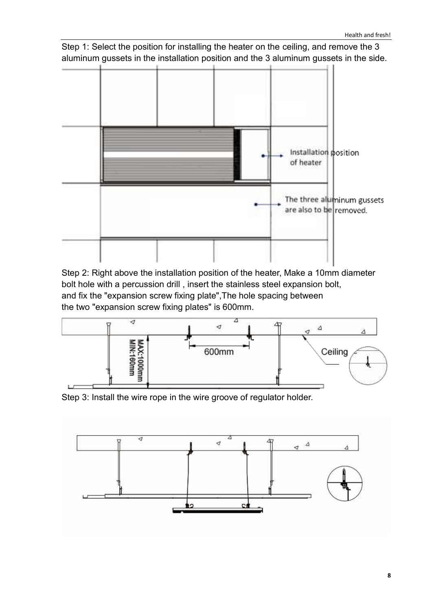Step 1: Select the position for installing the heater on the ceiling, and remove the 3 aluminum gussets in the installation position and the 3 aluminum gussets in the side.



Step 2: Right above the installation position of the heater, Make a 10mm diameter bolt hole with a percussion drill , insert the stainless steel expansion bolt, and fix the "expansion screw fixing plate",The hole spacing between the two "expansion screw fixing plates" is 600mm.



Step 3: Install the wire rope in the wire groove of regulator holder.

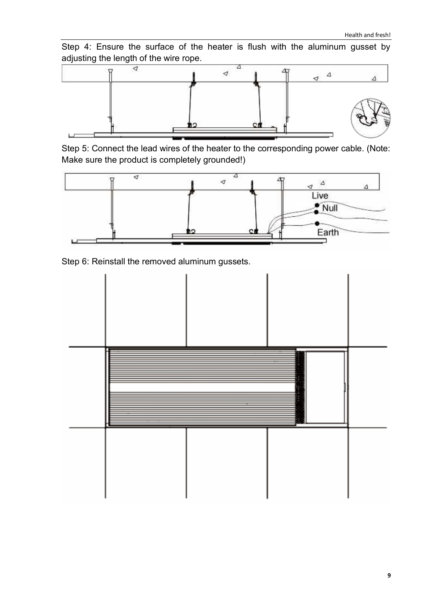Step 4: Ensure the surface of the heater is flush with the aluminum gusset by adjusting the length of the wire rope.



Step 5: Connect the lead wires of the heater to the corresponding power cable. (Note: Make sure the product is completely grounded!)



Step 6: Reinstall the removed aluminum gussets.

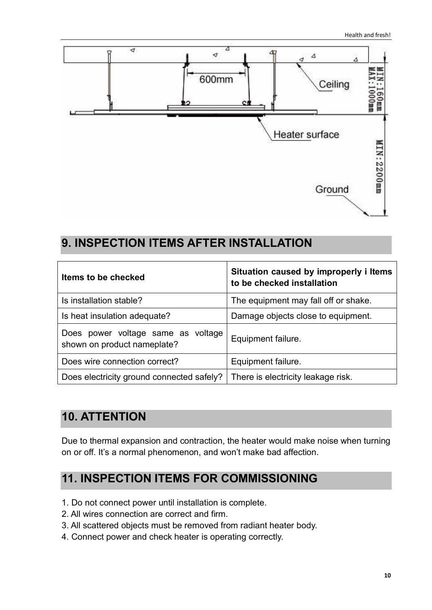

#### **9. INSPECTION ITEMS AFTER INSTALLATION**

| Items to be checked                                               | Situation caused by improperly i Items<br>to be checked installation |  |  |
|-------------------------------------------------------------------|----------------------------------------------------------------------|--|--|
| Is installation stable?                                           | The equipment may fall off or shake.                                 |  |  |
| Is heat insulation adequate?                                      | Damage objects close to equipment.                                   |  |  |
| Does power voltage same as voltage<br>shown on product nameplate? | Equipment failure.                                                   |  |  |
| Does wire connection correct?                                     | Equipment failure.                                                   |  |  |
| Does electricity ground connected safely?                         | There is electricity leakage risk.                                   |  |  |

## **10. ATTENTION**

Due to thermal expansion and contraction, the heater would make noise when turning on or off. It's a normal phenomenon, and won't make bad affection.

#### **11. INSPECTION ITEMS FOR COMMISSIONING**

- 1. Do not connect power until installation is complete.
- 2. All wires connection are correct and firm.
- 3. All scattered objects must be removed from radiant heater body.
- 4. Connect power and check heater is operating correctly.